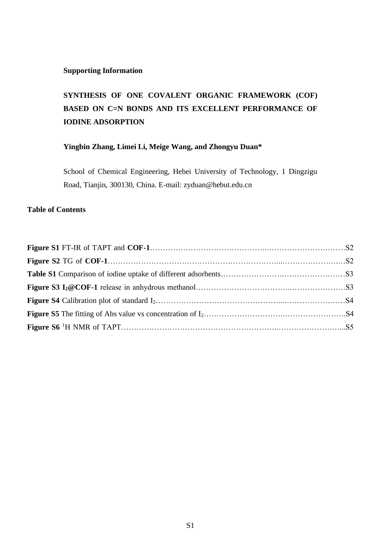### **Supporting Information**

# **SYNTHESIS OF ONE COVALENT ORGANIC FRAMEWORK (COF) BASED ON C=N BONDS AND ITS EXCELLENT PERFORMANCE OF IODINE ADSORPTION**

## **Yingbin Zhang, Limei Li, Meige Wang, and Zhongyu Duan\***

School of Chemical Engineering, Hebei University of Technology, 1 Dingzigu Road, Tianjin, 300130, China. E-mail: zyduan@hebut.edu.cn

## **Table of Contents**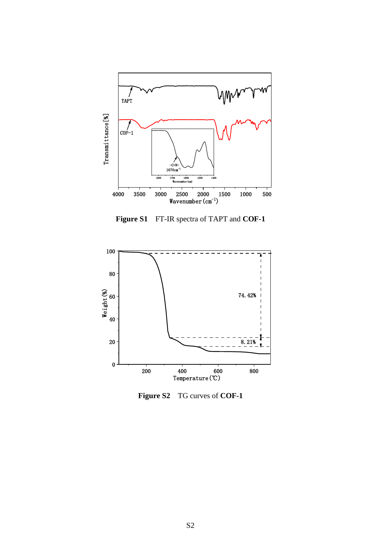

**Figure S1** FT-IR spectra of TAPT and **COF-1**



**Figure S2** TG curves of **COF-1**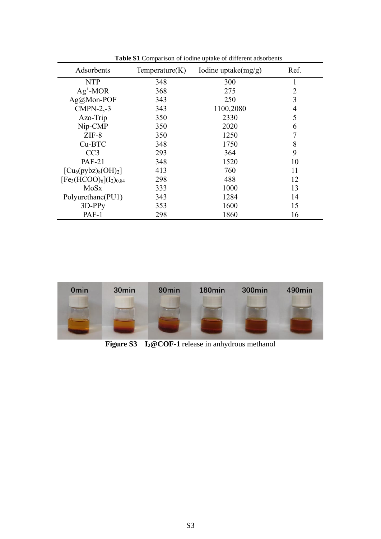| Adsorbents                           | Temperature(K) | Iodine uptake $(mg/g)$ | Ref.           |
|--------------------------------------|----------------|------------------------|----------------|
| <b>NTP</b>                           | 348            | 300                    | 1              |
| $Ag^+$ -MOR                          | 368            | 275                    | $\overline{2}$ |
| Ag@Mon-POF                           | 343            | 250                    | 3              |
| $CMPN-2,-3$                          | 343            | 1100,2080              | 4              |
| Azo-Trip                             | 350            | 2330                   | 5              |
| Nip-CMP                              | 350            | 2020                   | 6              |
| $ZIF-8$                              | 350            | 1250                   | 7              |
| Cu-BTC                               | 348            | 1750                   | 8              |
| CC <sub>3</sub>                      | 293            | 364                    | 9              |
| <b>PAF-21</b>                        | 348            | 1520                   | 10             |
| $\lceil Cu_6(pybz)_{8}(OH)_2 \rceil$ | 413            | 760                    | 11             |
| $[Fe3(HCOO)6](I2)0.84]$              | 298            | 488                    | 12             |
| MoSx                                 | 333            | 1000                   | 13             |
| Polyurethane(PU1)                    | 343            | 1284                   | 14             |
| $3D-PPy$                             | 353            | 1600                   | 15             |
| PAF-1                                | 298            | 1860                   | 16             |

**Table S1** Comparison of iodine uptake of different adsorbents



**Figure S3 I2@COF-1** release in anhydrous methanol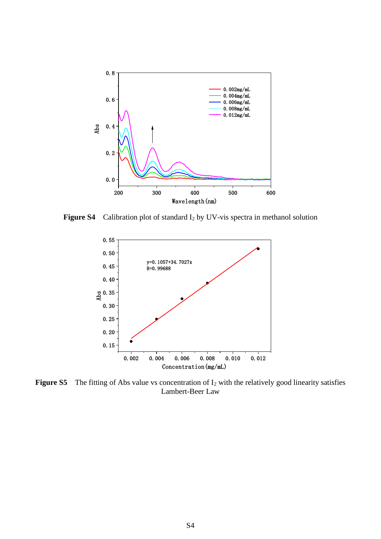

**Figure S4** Calibration plot of standard I<sup>2</sup> by UV-vis spectra in methanol solution



**Figure S5** The fitting of Abs value vs concentration of I<sub>2</sub> with the relatively good linearity satisfies Lambert-Beer Law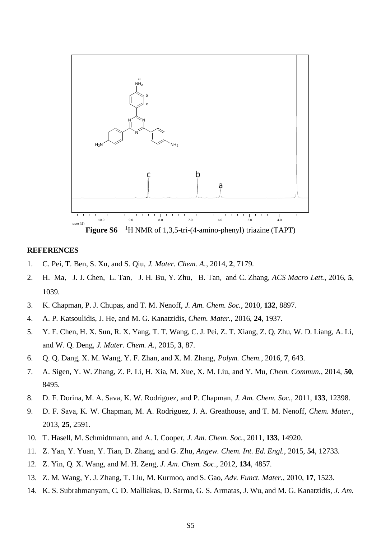

#### **REFERENCES**

- 1. C. Pei, T. Ben, S. Xu, and S. Qiu, *J. Mater. Chem. A.*, 2014, **2**, 7179.
- 2. H. Ma, J. J. Chen, L. Tan, J. H. Bu, Y. Zhu, B. Tan, and C. Zhang, *ACS Macro Lett.*, 2016, **5**, 1039.
- 3. K. Chapman, P. J. Chupas, and T. M. Nenoff, *J. Am. Chem. Soc.*, 2010, **132**, 8897.
- 4. A. P. Katsoulidis, J. He, and M. G. Kanatzidis, *Chem. Mater.*, 2016, **24**, 1937.
- 5. Y. F. Chen, H. X. Sun, R. X. Yang, T. T. Wang, C. J. Pei, Z. T. Xiang, Z. Q. Zhu, W. D. Liang, A. Li, and W. Q. Deng, *J. Mater. Chem. A.*, 2015, **3**, 87.
- 6. Q. Q. Dang, X. M. Wang, Y. F. Zhan, and X. M. Zhang, *Polym. Chem.*, 2016, **7**, 643.
- 7. A. Sigen, Y. W. Zhang, Z. P. Li, H. Xia, M. Xue, X. M. Liu, and Y. Mu, *Chem. Commun.*, 2014, **50**, 8495.
- 8. D. F. Dorina, M. A. Sava, K. W. Rodriguez, and P. Chapman, *J. Am. Chem. Soc.*, 2011, **133**, 12398.
- 9. D. F. Sava, K. W. Chapman, M. A. Rodriguez, J. A. Greathouse, and T. M. Nenoff, *Chem. Mater.*, 2013, **25**, 2591.
- 10. T. Hasell, M. Schmidtmann, and A. I. Cooper, *J. Am. Chem. Soc.*, 2011, **133**, 14920.
- 11. Z. Yan, Y. Yuan, Y. Tian, D. Zhang, and G. Zhu, *Angew. Chem. Int. Ed. Engl.*, 2015, **54**, 12733.
- 12. Z. Yin, Q. X. Wang, and M. H. Zeng, *J. Am. Chem. Soc.*, 2012, **134**, 4857.
- 13. Z. M. Wang, Y. J. Zhang, T. Liu, M. Kurmoo, and S. Gao, *Adv. Funct. Mater.*, 2010, **17**, 1523.
- 14. K. S. Subrahmanyam, C. D. Malliakas, D. Sarma, G. S. Armatas, J. Wu, and M. G. Kanatzidis, *J. Am.*